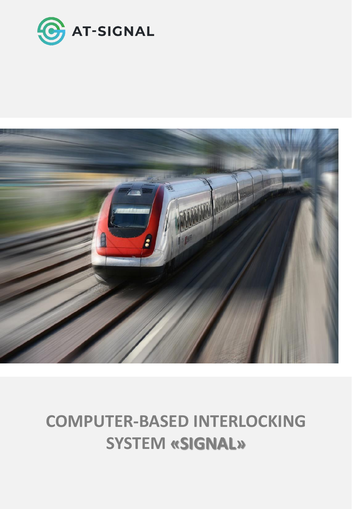



# **COMPUTER-BASED INTERLOCKING SYSTEM «SIGNAL»**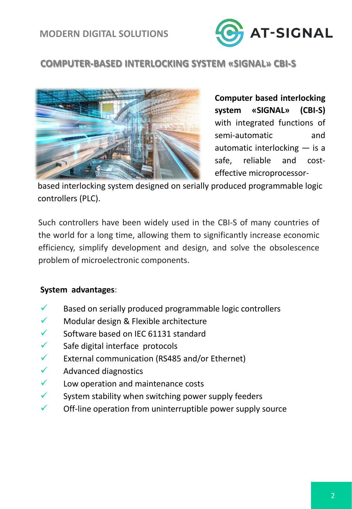

# **COMPUTER-BASED INTERLOCKING SYSTEM «SIGNAL» CBI-S**



**Computer based interlocking system «SIGNAL» (CBI-S)** with integrated functions of semi-automatic and automatic interlocking — is a safe, reliable and costeffective microprocessor-

based interlocking system designed on serially produced programmable logic controllers (PLC).

Such controllers have been widely used in the CBI-S of many countries of the world for a long time, allowing them to significantly increase economic efficiency, simplify development and design, and solve the obsolescence problem of microelectronic components.

#### **System advantages:**

- $\checkmark$  Based on serially produced programmable logic controllers
- $\checkmark$  Modular design & Flexible architecture
- $\checkmark$  Software based on IEC 61131 standard
- $\checkmark$  Safe digital interface protocols
- $\checkmark$  External communication (RS485 and/or Ethernet)
- ✓ Advanced diagnostics
- $\checkmark$  Low operation and maintenance costs
- $\checkmark$  System stability when switching power supply feeders
- $\checkmark$  Off-line operation from uninterruptible power supply source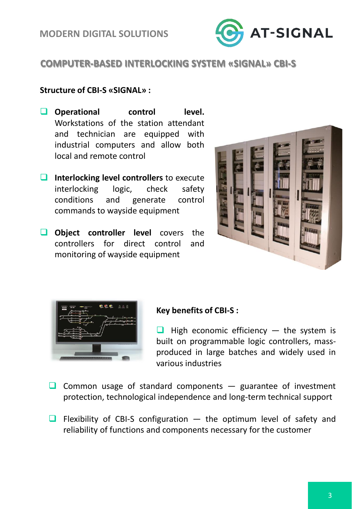

# **COMPUTER-BASED INTERLOCKING SYSTEM «SIGNAL» CBI-S**

#### **Structure of CBI-S «SIGNAL» :**

- ❑ **Operational control level.** Workstations of the station attendant and technician are equipped with industrial computers and allow both local and remote control
- ❑ **Interlocking level controllers** to execute interlocking logic, check safety conditions and generate control commands to wayside equipment
- ❑ **Object controller level** covers the controllers for direct control and monitoring of wayside equipment





#### **Key benefits of CBI-S :**

 $\Box$  High economic efficiency  $-$  the system is built on programmable logic controllers, massproduced in large batches and widely used in various industries

- $\Box$  Common usage of standard components  $-$  guarantee of investment protection, technological independence and long-term technical support
- $\Box$  Flexibility of CBI-S configuration  $-$  the optimum level of safety and reliability of functions and components necessary for the customer